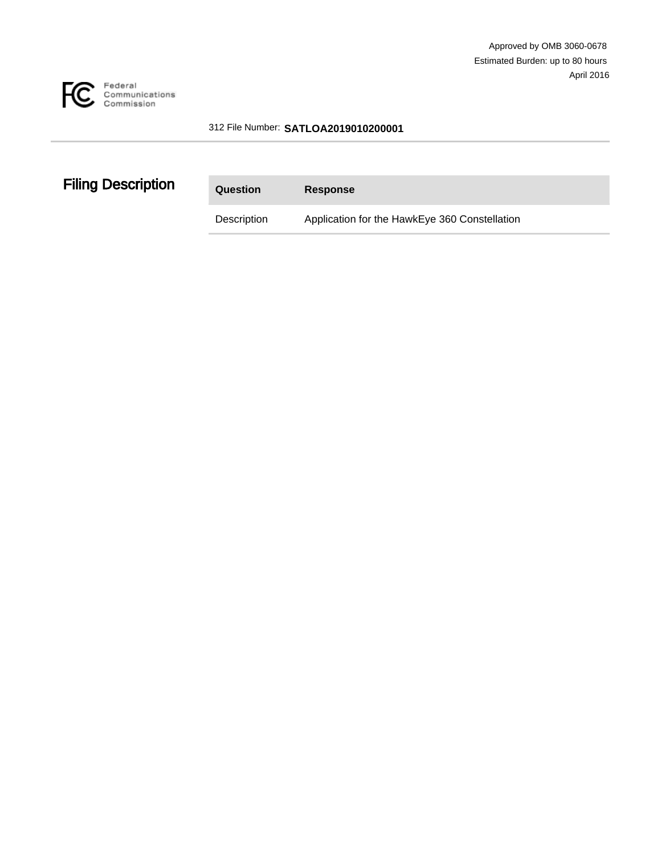

#### 312 File Number: **SATLOA2019010200001**

# **Filing Description**

| Question    | <b>Response</b>                               |
|-------------|-----------------------------------------------|
| Description | Application for the HawkEye 360 Constellation |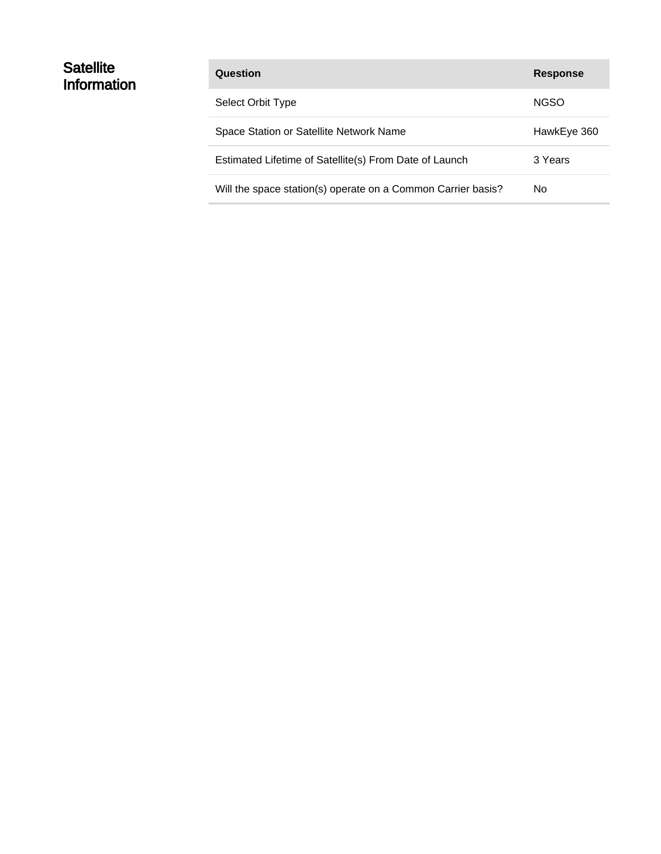### **Satellite Information**

| Question                                                     | <b>Response</b> |
|--------------------------------------------------------------|-----------------|
| Select Orbit Type                                            | <b>NGSO</b>     |
| Space Station or Satellite Network Name                      | HawkEye 360     |
| Estimated Lifetime of Satellite(s) From Date of Launch       | 3 Years         |
| Will the space station(s) operate on a Common Carrier basis? | No.             |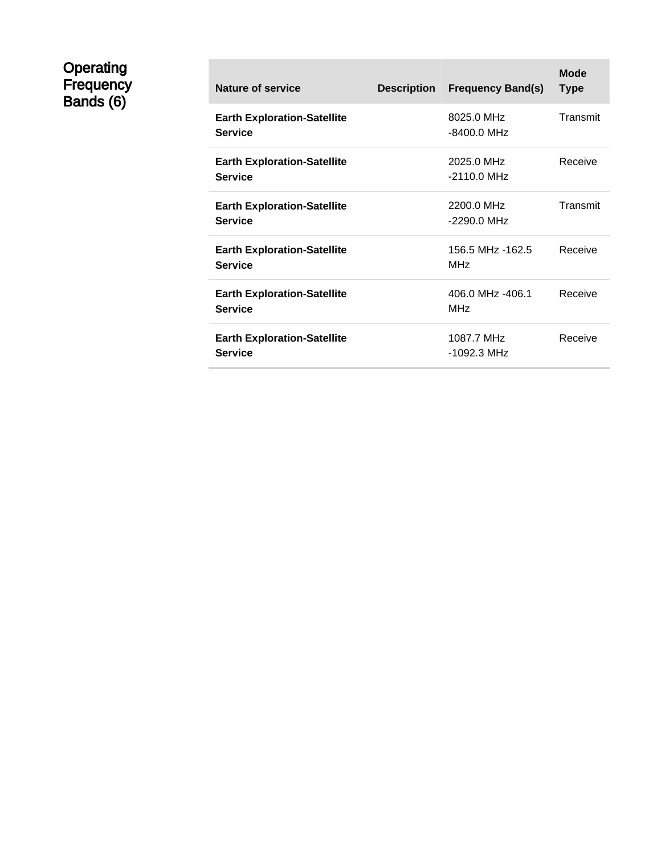### **Operating** Frequency Bands (6)

| Nature of service                                    | <b>Description</b> | <b>Frequency Band(s)</b>            | Mode<br><b>Type</b> |
|------------------------------------------------------|--------------------|-------------------------------------|---------------------|
| <b>Earth Exploration-Satellite</b><br><b>Service</b> |                    | 8025.0 MHz<br>-8400.0 MHz           | Transmit            |
| <b>Earth Exploration-Satellite</b><br><b>Service</b> |                    | 2025.0 MHz<br>$-2110.0$ MHz         | Receive             |
| <b>Earth Exploration-Satellite</b><br><b>Service</b> |                    | 2200.0 MHz<br>-2290.0 MHz           | Transmit            |
| <b>Earth Exploration-Satellite</b><br><b>Service</b> |                    | 156.5 MHz -162.5<br><b>MHz</b>      | Receive             |
| <b>Earth Exploration-Satellite</b><br><b>Service</b> |                    | 406.0 MHz -406.1<br>MH <sub>7</sub> | Receive             |
| <b>Earth Exploration-Satellite</b><br><b>Service</b> |                    | 1087.7 MHz<br>-1092.3 MHz           | Receive             |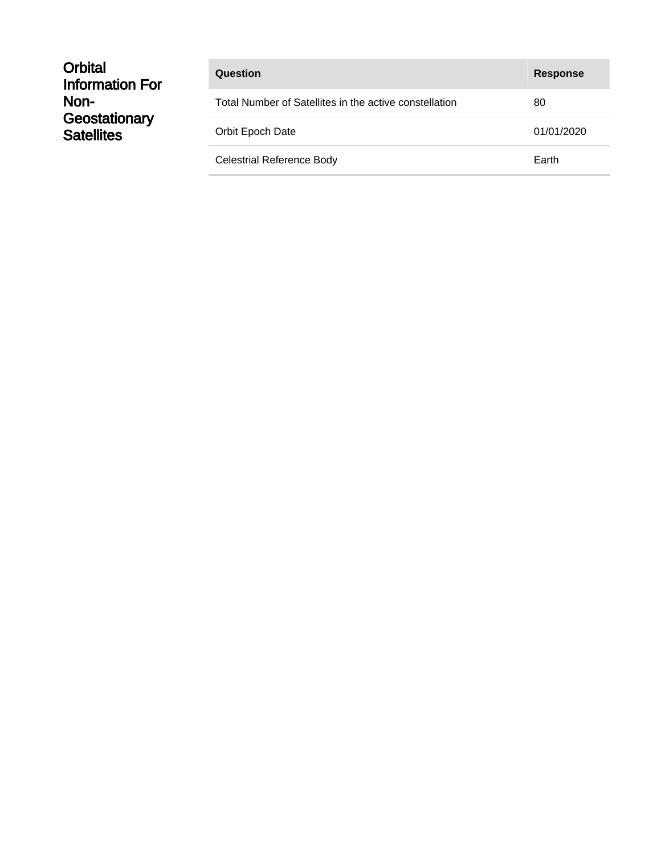| <b>Response</b>                                              |
|--------------------------------------------------------------|
| Total Number of Satellites in the active constellation<br>80 |
| 01/01/2020                                                   |
| Earth                                                        |
|                                                              |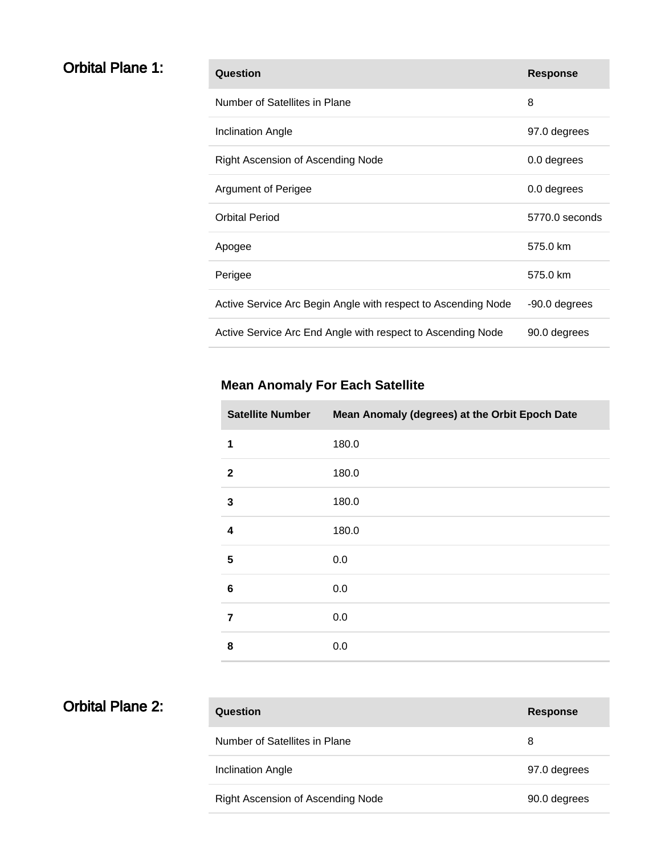### **Orbital Plane 1:**

| Question                                                      | <b>Response</b> |
|---------------------------------------------------------------|-----------------|
| Number of Satellites in Plane                                 | 8               |
| <b>Inclination Angle</b>                                      | 97.0 degrees    |
| Right Ascension of Ascending Node                             | 0.0 degrees     |
| Argument of Perigee                                           | 0.0 degrees     |
| <b>Orbital Period</b>                                         | 5770.0 seconds  |
| Apogee                                                        | 575.0 km        |
| Perigee                                                       | 575.0 km        |
| Active Service Arc Begin Angle with respect to Ascending Node | -90.0 degrees   |
| Active Service Arc End Angle with respect to Ascending Node   | 90.0 degrees    |

| <b>Satellite Number</b> | Mean Anomaly (degrees) at the Orbit Epoch Date |
|-------------------------|------------------------------------------------|
| 1                       | 180.0                                          |
| $\boldsymbol{2}$        | 180.0                                          |
| 3                       | 180.0                                          |
| 4                       | 180.0                                          |
| 5                       | 0.0                                            |
| $6\phantom{1}6$         | 0.0                                            |
| $\overline{7}$          | 0.0                                            |
| 8                       | 0.0                                            |

| <b>Orbital Plane 2:</b> |  |  |
|-------------------------|--|--|
|-------------------------|--|--|

| Question                          | <b>Response</b> |
|-----------------------------------|-----------------|
| Number of Satellites in Plane     | 8               |
| Inclination Angle                 | 97.0 degrees    |
| Right Ascension of Ascending Node | 90.0 degrees    |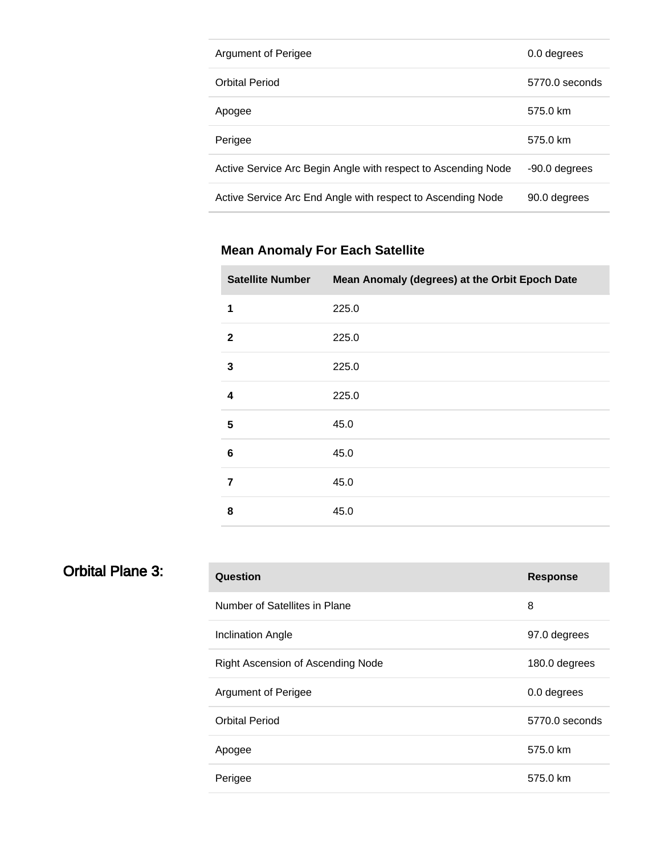| Argument of Perigee                                           | 0.0 degrees    |
|---------------------------------------------------------------|----------------|
| <b>Orbital Period</b>                                         | 5770.0 seconds |
| Apogee                                                        | 575.0 km       |
| Perigee                                                       | 575.0 km       |
| Active Service Arc Begin Angle with respect to Ascending Node | -90.0 degrees  |
| Active Service Arc End Angle with respect to Ascending Node   | 90.0 degrees   |

| <b>Satellite Number</b> | Mean Anomaly (degrees) at the Orbit Epoch Date |
|-------------------------|------------------------------------------------|
| 1                       | 225.0                                          |
| $\overline{2}$          | 225.0                                          |
| 3                       | 225.0                                          |
| $\overline{\mathbf{4}}$ | 225.0                                          |
| 5                       | 45.0                                           |
| $6\phantom{1}6$         | 45.0                                           |
| $\overline{7}$          | 45.0                                           |
| 8                       | 45.0                                           |

# Orbital Plane 3:

| Question                          | <b>Response</b> |
|-----------------------------------|-----------------|
| Number of Satellites in Plane     | 8               |
| <b>Inclination Angle</b>          | 97.0 degrees    |
| Right Ascension of Ascending Node | 180.0 degrees   |
| <b>Argument of Perigee</b>        | 0.0 degrees     |
| <b>Orbital Period</b>             | 5770.0 seconds  |
| Apogee                            | 575.0 km        |
| Perigee                           | 575.0 km        |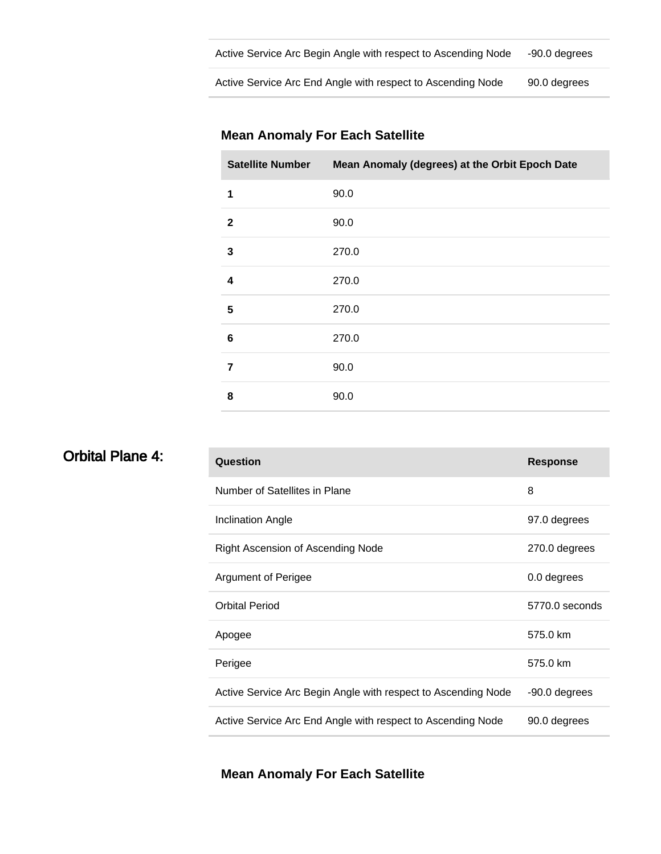| Active Service Arc Begin Angle with respect to Ascending Node | -90.0 degrees |
|---------------------------------------------------------------|---------------|
|                                                               |               |

Active Service Arc End Angle with respect to Ascending Node 90.0 degrees

#### **Mean Anomaly For Each Satellite**

| <b>Satellite Number</b> | Mean Anomaly (degrees) at the Orbit Epoch Date |
|-------------------------|------------------------------------------------|
| 1                       | 90.0                                           |
| $\overline{2}$          | 90.0                                           |
| 3                       | 270.0                                          |
| 4                       | 270.0                                          |
| 5                       | 270.0                                          |
| 6                       | 270.0                                          |
| 7                       | 90.0                                           |
| 8                       | 90.0                                           |

| <b>Orbital Plane 4:</b> | Question                                                      | <b>Response</b> |
|-------------------------|---------------------------------------------------------------|-----------------|
|                         | Number of Satellites in Plane                                 | 8               |
|                         | <b>Inclination Angle</b>                                      | 97.0 degrees    |
|                         | Right Ascension of Ascending Node                             | 270.0 degrees   |
|                         | Argument of Perigee                                           | 0.0 degrees     |
|                         | <b>Orbital Period</b>                                         | 5770.0 seconds  |
|                         | Apogee                                                        | 575.0 km        |
|                         | Perigee                                                       | 575.0 km        |
|                         | Active Service Arc Begin Angle with respect to Ascending Node | -90.0 degrees   |
|                         | Active Service Arc End Angle with respect to Ascending Node   | 90.0 degrees    |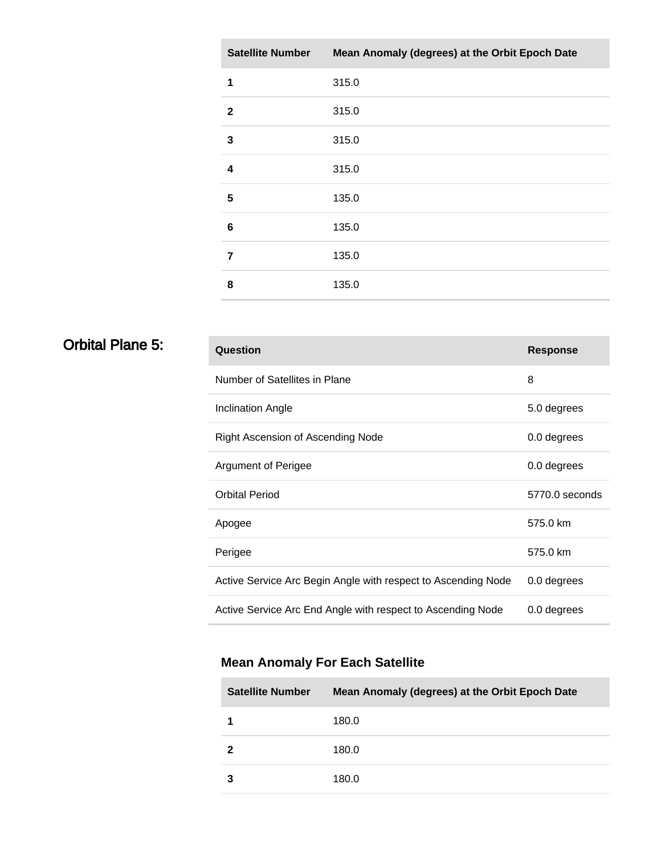| <b>Satellite Number</b> | Mean Anomaly (degrees) at the Orbit Epoch Date |
|-------------------------|------------------------------------------------|
| 1                       | 315.0                                          |
| $\mathbf{2}$            | 315.0                                          |
| 3                       | 315.0                                          |
| $\overline{\mathbf{4}}$ | 315.0                                          |
| 5                       | 135.0                                          |
| $6\phantom{1}6$         | 135.0                                          |
| 7                       | 135.0                                          |
| 8                       | 135.0                                          |

# **Orbital Plane 5:**

| Question                                                      | <b>Response</b> |
|---------------------------------------------------------------|-----------------|
| Number of Satellites in Plane                                 | 8               |
| Inclination Angle                                             | 5.0 degrees     |
| Right Ascension of Ascending Node                             | 0.0 degrees     |
| <b>Argument of Perigee</b>                                    | 0.0 degrees     |
| <b>Orbital Period</b>                                         | 5770.0 seconds  |
| Apogee                                                        | 575.0 km        |
| Perigee                                                       | 575.0 km        |
| Active Service Arc Begin Angle with respect to Ascending Node | 0.0 degrees     |
| Active Service Arc End Angle with respect to Ascending Node   | 0.0 degrees     |

| <b>Satellite Number</b> | Mean Anomaly (degrees) at the Orbit Epoch Date |
|-------------------------|------------------------------------------------|
|                         | 180.0                                          |
| 2                       | 180.0                                          |
|                         | 180.0                                          |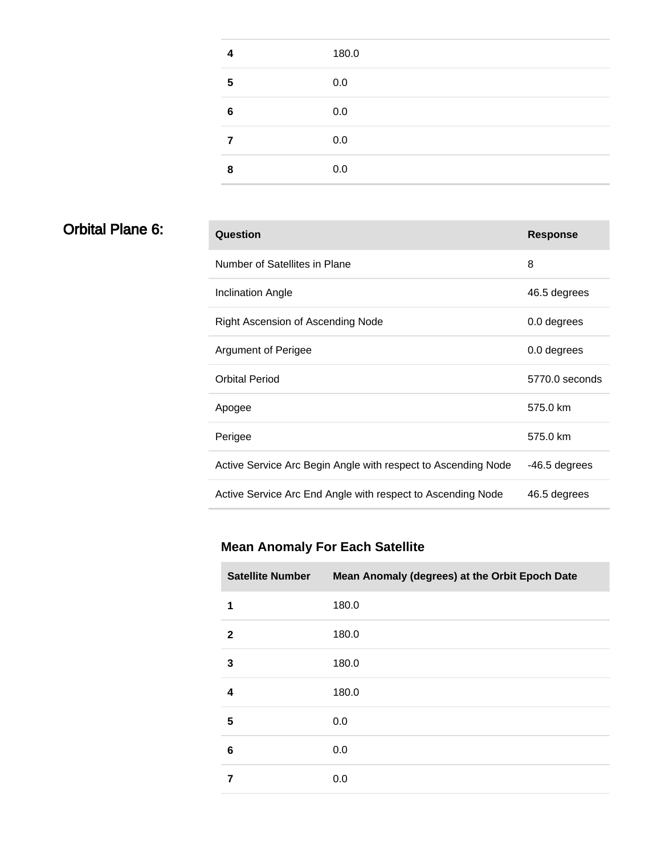| Δ | 180.0 |
|---|-------|
| 5 | 0.0   |
| 6 | 0.0   |
|   | 0.0   |
| 8 | 0.0   |

### **Orbital Plane 6:**

| Question                                                      | <b>Response</b> |
|---------------------------------------------------------------|-----------------|
| Number of Satellites in Plane                                 | 8               |
| <b>Inclination Angle</b>                                      | 46.5 degrees    |
| Right Ascension of Ascending Node                             | 0.0 degrees     |
| <b>Argument of Perigee</b>                                    | 0.0 degrees     |
| Orbital Period                                                | 5770.0 seconds  |
| Apogee                                                        | 575.0 km        |
| Perigee                                                       | 575.0 km        |
| Active Service Arc Begin Angle with respect to Ascending Node | -46.5 degrees   |
| Active Service Arc End Angle with respect to Ascending Node   | 46.5 degrees    |

| <b>Satellite Number</b> | Mean Anomaly (degrees) at the Orbit Epoch Date |
|-------------------------|------------------------------------------------|
| 1                       | 180.0                                          |
| $\mathbf{2}$            | 180.0                                          |
| 3                       | 180.0                                          |
| 4                       | 180.0                                          |
| 5                       | 0.0                                            |
| 6                       | 0.0                                            |
| 7                       | 0.0                                            |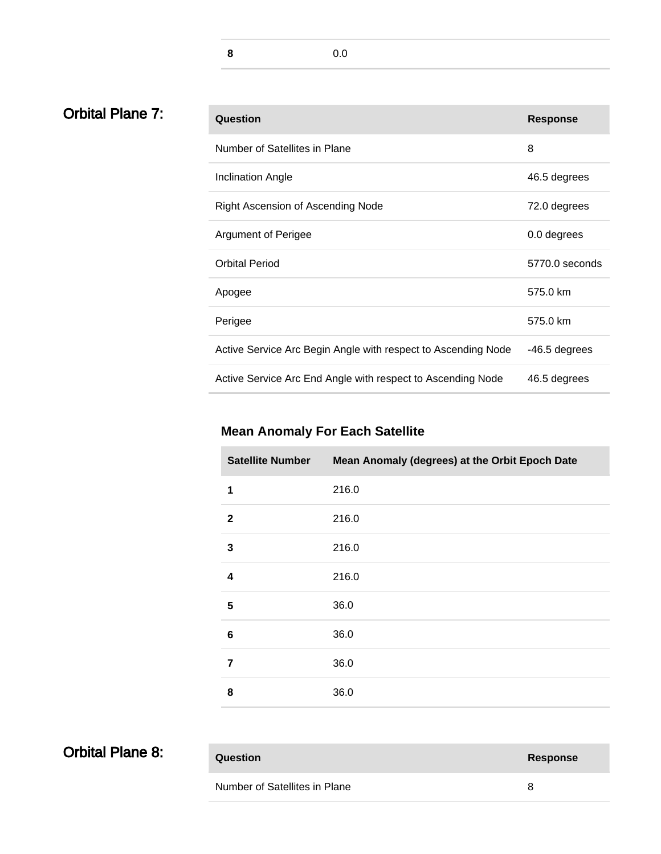**8** 0.0

# **Orbital Plane 7:**

| Question                                                      | <b>Response</b> |
|---------------------------------------------------------------|-----------------|
| Number of Satellites in Plane                                 | 8               |
| Inclination Angle                                             | 46.5 degrees    |
| Right Ascension of Ascending Node                             | 72.0 degrees    |
| <b>Argument of Perigee</b>                                    | 0.0 degrees     |
| <b>Orbital Period</b>                                         | 5770.0 seconds  |
| Apogee                                                        | 575.0 km        |
| Perigee                                                       | 575.0 km        |
| Active Service Arc Begin Angle with respect to Ascending Node | -46.5 degrees   |
| Active Service Arc End Angle with respect to Ascending Node   | 46.5 degrees    |

### **Mean Anomaly For Each Satellite**

| <b>Satellite Number</b> | Mean Anomaly (degrees) at the Orbit Epoch Date |
|-------------------------|------------------------------------------------|
| 1                       | 216.0                                          |
| $\mathbf 2$             | 216.0                                          |
| 3                       | 216.0                                          |
| $\overline{\mathbf{4}}$ | 216.0                                          |
| 5                       | 36.0                                           |
| 6                       | 36.0                                           |
| $\overline{7}$          | 36.0                                           |
| 8                       | 36.0                                           |

| <b>Orbital Plane 8:</b> |  |  |
|-------------------------|--|--|
|-------------------------|--|--|

**Question Response**

Number of Satellites in Plane 8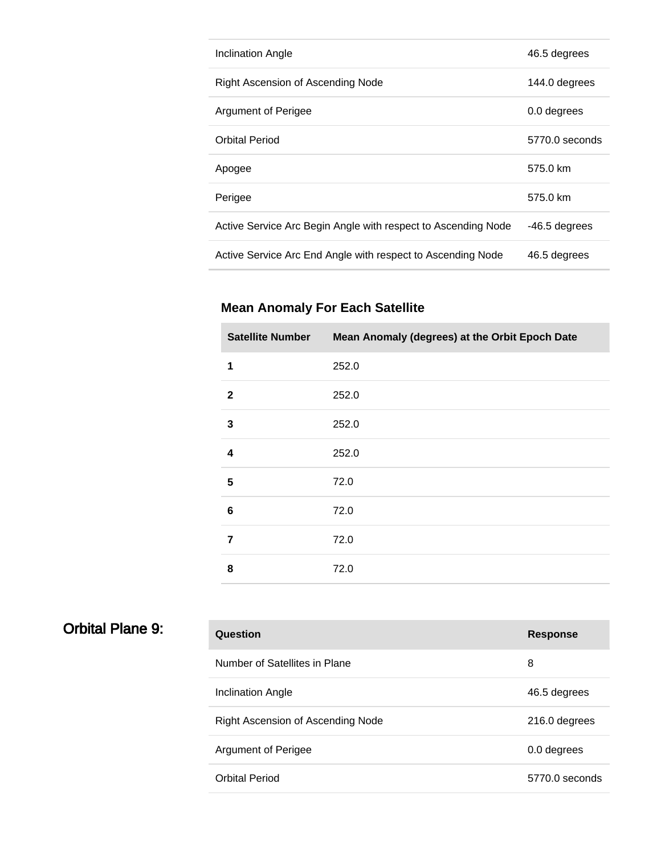| Inclination Angle                                             | 46.5 degrees   |
|---------------------------------------------------------------|----------------|
| Right Ascension of Ascending Node                             | 144.0 degrees  |
| Argument of Perigee                                           | 0.0 degrees    |
| <b>Orbital Period</b>                                         | 5770.0 seconds |
| Apogee                                                        | 575.0 km       |
| Perigee                                                       | 575.0 km       |
| Active Service Arc Begin Angle with respect to Ascending Node | -46.5 degrees  |
| Active Service Arc End Angle with respect to Ascending Node   | 46.5 degrees   |

| <b>Satellite Number</b> | Mean Anomaly (degrees) at the Orbit Epoch Date |
|-------------------------|------------------------------------------------|
| 1                       | 252.0                                          |
| $\mathbf{2}$            | 252.0                                          |
| 3                       | 252.0                                          |
| 4                       | 252.0                                          |
| 5                       | 72.0                                           |
| 6                       | 72.0                                           |
| $\overline{7}$          | 72.0                                           |
| 8                       | 72.0                                           |

| Question                                 | <b>Response</b> |
|------------------------------------------|-----------------|
| Number of Satellites in Plane            | 8               |
| Inclination Angle                        | 46.5 degrees    |
| <b>Right Ascension of Ascending Node</b> | 216.0 degrees   |
|                                          |                 |
| Argument of Perigee                      | 0.0 degrees     |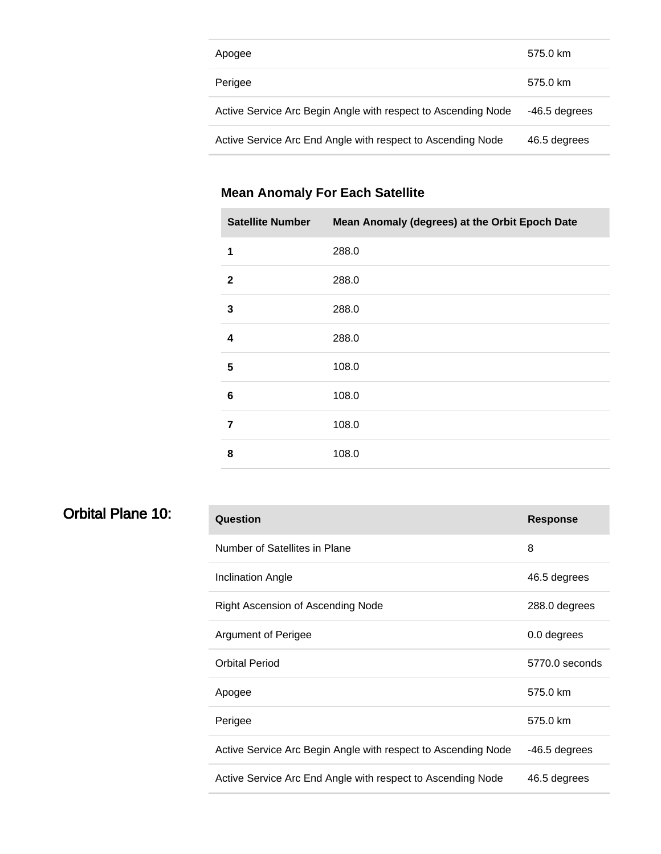| Apogee                                                        | 575.0 km      |
|---------------------------------------------------------------|---------------|
| Perigee                                                       | 575.0 km      |
| Active Service Arc Begin Angle with respect to Ascending Node | -46.5 degrees |
| Active Service Arc End Angle with respect to Ascending Node   | 46.5 degrees  |

| <b>Satellite Number</b> | Mean Anomaly (degrees) at the Orbit Epoch Date |
|-------------------------|------------------------------------------------|
| 1                       | 288.0                                          |
| $\mathbf{2}$            | 288.0                                          |
| 3                       | 288.0                                          |
| 4                       | 288.0                                          |
| 5                       | 108.0                                          |
| 6                       | 108.0                                          |
| 7                       | 108.0                                          |
| 8                       | 108.0                                          |

### Orbital Plane 10:

| Question                                                      | <b>Response</b> |
|---------------------------------------------------------------|-----------------|
| Number of Satellites in Plane                                 | 8               |
| Inclination Angle                                             | 46.5 degrees    |
| Right Ascension of Ascending Node                             | 288.0 degrees   |
| Argument of Perigee                                           | 0.0 degrees     |
| <b>Orbital Period</b>                                         | 5770.0 seconds  |
| Apogee                                                        | 575.0 km        |
| Perigee                                                       | 575.0 km        |
| Active Service Arc Begin Angle with respect to Ascending Node | -46.5 degrees   |
| Active Service Arc End Angle with respect to Ascending Node   | 46.5 degrees    |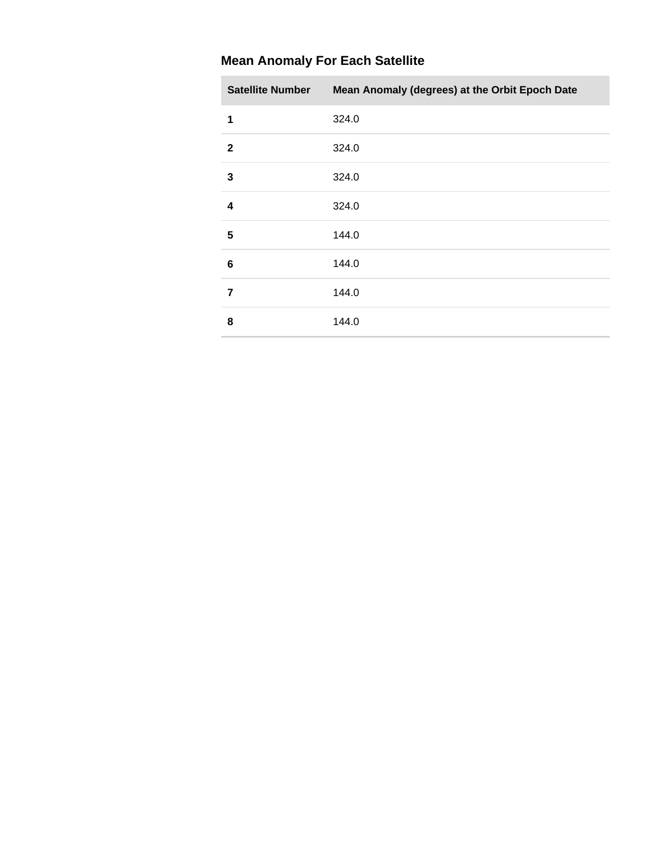| <b>Satellite Number</b> | Mean Anomaly (degrees) at the Orbit Epoch Date |
|-------------------------|------------------------------------------------|
| 1                       | 324.0                                          |
| $\mathbf{2}$            | 324.0                                          |
| 3                       | 324.0                                          |
| 4                       | 324.0                                          |
| 5                       | 144.0                                          |
| 6                       | 144.0                                          |
| 7                       | 144.0                                          |
| 8                       | 144.0                                          |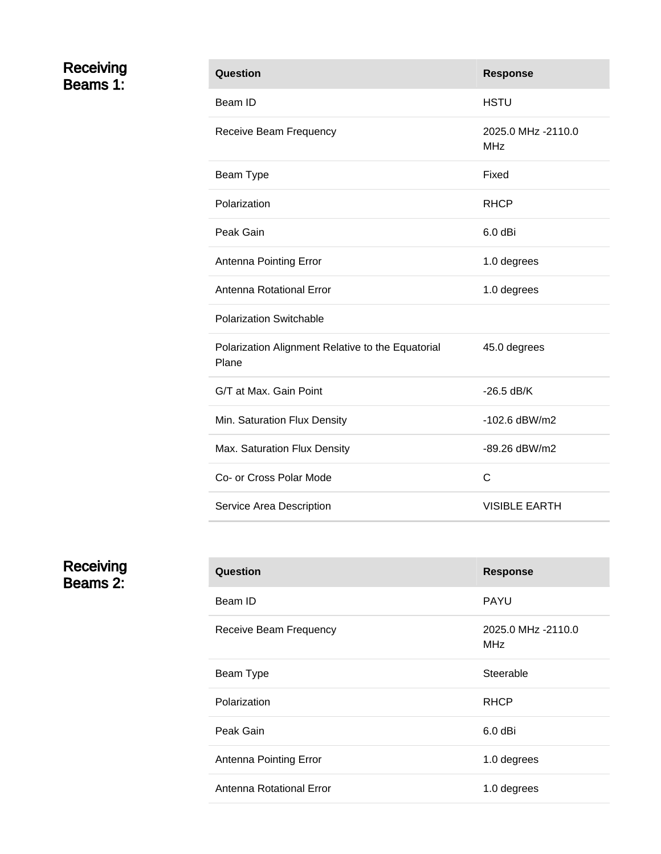#### Receiving Beams 1:

| Question                                                   | <b>Response</b>                  |
|------------------------------------------------------------|----------------------------------|
| Beam ID                                                    | <b>HSTU</b>                      |
| Receive Beam Frequency                                     | 2025.0 MHz -2110.0<br><b>MHz</b> |
| Beam Type                                                  | Fixed                            |
| Polarization                                               | <b>RHCP</b>                      |
| Peak Gain                                                  | 6.0 dBi                          |
| Antenna Pointing Error                                     | 1.0 degrees                      |
| Antenna Rotational Error                                   | 1.0 degrees                      |
| <b>Polarization Switchable</b>                             |                                  |
| Polarization Alignment Relative to the Equatorial<br>Plane | 45.0 degrees                     |
| G/T at Max. Gain Point                                     | $-26.5$ dB/K                     |
| Min. Saturation Flux Density                               | $-102.6$ dBW/m2                  |
| Max. Saturation Flux Density                               | -89.26 dBW/m2                    |
| Co- or Cross Polar Mode                                    | C                                |
| Service Area Description                                   | <b>VISIBLE EARTH</b>             |

Receiving Beams 2:

| Question                 | <b>Response</b>                  |
|--------------------------|----------------------------------|
| Beam ID                  | <b>PAYU</b>                      |
| Receive Beam Frequency   | 2025.0 MHz -2110.0<br><b>MHz</b> |
| Beam Type                | Steerable                        |
| Polarization             | <b>RHCP</b>                      |
| Peak Gain                | $6.0$ dBi                        |
| Antenna Pointing Error   | 1.0 degrees                      |
| Antenna Rotational Error | 1.0 degrees                      |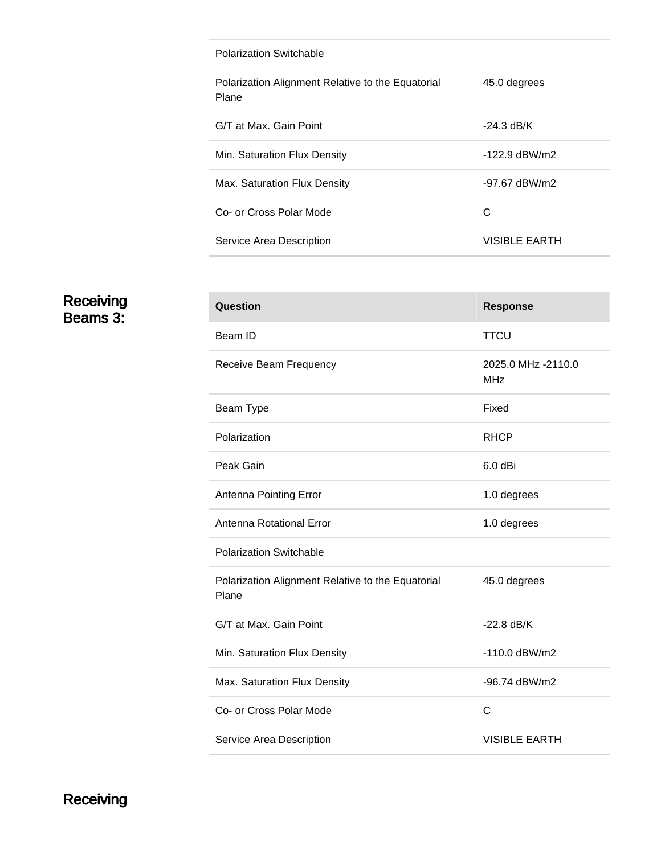| Polarization Switchable                                    |               |
|------------------------------------------------------------|---------------|
| Polarization Alignment Relative to the Equatorial<br>Plane | 45.0 degrees  |
| G/T at Max. Gain Point                                     | -24.3 dB/K    |
| Min. Saturation Flux Density                               | -122.9 dBW/m2 |
| Max. Saturation Flux Density                               | -97.67 dBW/m2 |
| Co- or Cross Polar Mode                                    | C             |
| Service Area Description                                   | VISIBLE EARTH |

#### Receiving Beams 3:

| <b>Response</b>                  |
|----------------------------------|
| <b>TTCU</b>                      |
| 2025.0 MHz -2110.0<br><b>MHz</b> |
| Fixed                            |
| <b>RHCP</b>                      |
| $6.0$ dBi                        |
| 1.0 degrees                      |
| 1.0 degrees                      |
|                                  |
| 45.0 degrees                     |
| $-22.8$ dB/K                     |
| $-110.0$ dBW/m2                  |
| -96.74 dBW/m2                    |
| $\mathsf{C}$                     |
| <b>VISIBLE EARTH</b>             |
|                                  |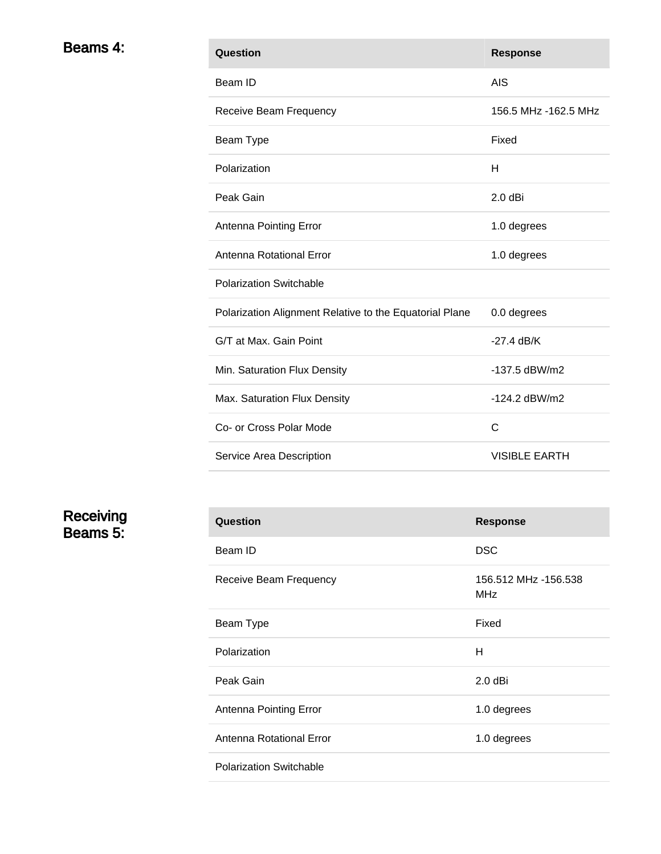| Beams 4: | Question                                                | <b>Response</b>      |
|----------|---------------------------------------------------------|----------------------|
|          | Beam ID                                                 | <b>AIS</b>           |
|          | Receive Beam Frequency                                  | 156.5 MHz -162.5 MHz |
|          | Beam Type                                               | Fixed                |
|          | Polarization                                            | H                    |
|          | Peak Gain                                               | $2.0$ dBi            |
|          | Antenna Pointing Error                                  | 1.0 degrees          |
|          | Antenna Rotational Error                                | 1.0 degrees          |
|          | <b>Polarization Switchable</b>                          |                      |
|          | Polarization Alignment Relative to the Equatorial Plane | 0.0 degrees          |
|          | G/T at Max. Gain Point                                  | $-27.4$ dB/K         |
|          | Min. Saturation Flux Density                            | -137.5 dBW/m2        |
|          | Max. Saturation Flux Density                            | -124.2 dBW/m2        |
|          | Co- or Cross Polar Mode                                 | $\mathbf C$          |
|          | Service Area Description                                | <b>VISIBLE EARTH</b> |

**Receiving** Beams 5:

| Question                       | <b>Response</b>                    |
|--------------------------------|------------------------------------|
| Beam ID                        | <b>DSC</b>                         |
| Receive Beam Frequency         | 156.512 MHz -156.538<br><b>MHz</b> |
| Beam Type                      | Fixed                              |
| Polarization                   | н                                  |
| Peak Gain                      | $2.0$ dBi                          |
| Antenna Pointing Error         | 1.0 degrees                        |
| Antenna Rotational Error       | 1.0 degrees                        |
| <b>Polarization Switchable</b> |                                    |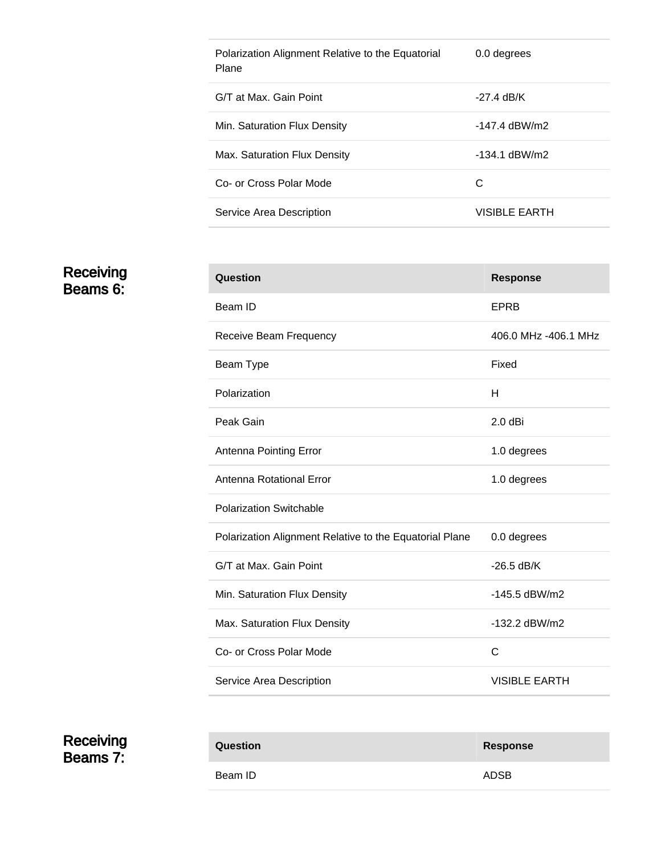| Polarization Alignment Relative to the Equatorial<br>Plane | 0.0 degrees          |
|------------------------------------------------------------|----------------------|
| G/T at Max. Gain Point                                     | -27.4 dB/K           |
| Min. Saturation Flux Density                               | $-147.4$ dBW/m2      |
| Max. Saturation Flux Density                               | $-134.1$ dBW/m2      |
| Co- or Cross Polar Mode                                    | C                    |
| Service Area Description                                   | <b>VISIBLE EARTH</b> |

Receiving Beams 6:

| Question                                                | <b>Response</b>      |
|---------------------------------------------------------|----------------------|
| Beam ID                                                 | <b>EPRB</b>          |
| Receive Beam Frequency                                  | 406.0 MHz -406.1 MHz |
| Beam Type                                               | Fixed                |
| Polarization                                            | н                    |
| Peak Gain                                               | $2.0$ dBi            |
| Antenna Pointing Error                                  | 1.0 degrees          |
| Antenna Rotational Error                                | 1.0 degrees          |
| <b>Polarization Switchable</b>                          |                      |
| Polarization Alignment Relative to the Equatorial Plane | 0.0 degrees          |
| G/T at Max. Gain Point                                  | $-26.5$ dB/K         |
| Min. Saturation Flux Density                            | -145.5 dBW/m2        |
| Max. Saturation Flux Density                            | $-132.2$ dBW/m2      |
| Co- or Cross Polar Mode                                 | C                    |
| Service Area Description                                | <b>VISIBLE EARTH</b> |

**Receiving** Beams 7:

i.

| <b>Question</b> | <b>Response</b> |
|-----------------|-----------------|
| Beam ID         | <b>ADSB</b>     |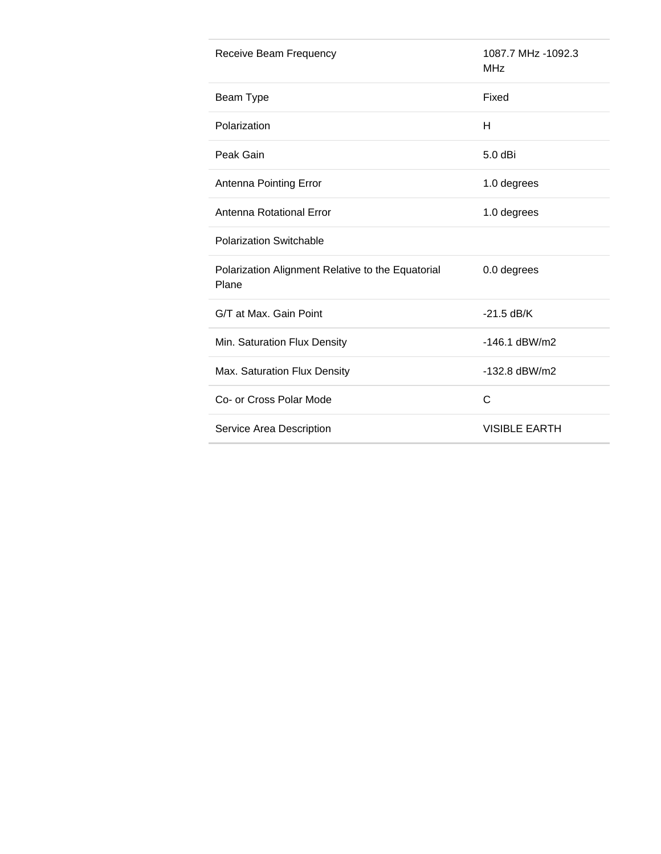| Receive Beam Frequency                                     | 1087.7 MHz -1092.3<br><b>MHz</b> |
|------------------------------------------------------------|----------------------------------|
| Beam Type                                                  | Fixed                            |
| Polarization                                               | H                                |
| Peak Gain                                                  | 5.0 dBi                          |
| Antenna Pointing Error                                     | 1.0 degrees                      |
| Antenna Rotational Error                                   | 1.0 degrees                      |
| <b>Polarization Switchable</b>                             |                                  |
| Polarization Alignment Relative to the Equatorial<br>Plane | 0.0 degrees                      |
| G/T at Max. Gain Point                                     | $-21.5$ dB/K                     |
| Min. Saturation Flux Density                               | $-146.1$ dBW/m2                  |
| Max. Saturation Flux Density                               | -132.8 dBW/m2                    |
| Co- or Cross Polar Mode                                    | C                                |
| Service Area Description                                   | <b>VISIBLE EARTH</b>             |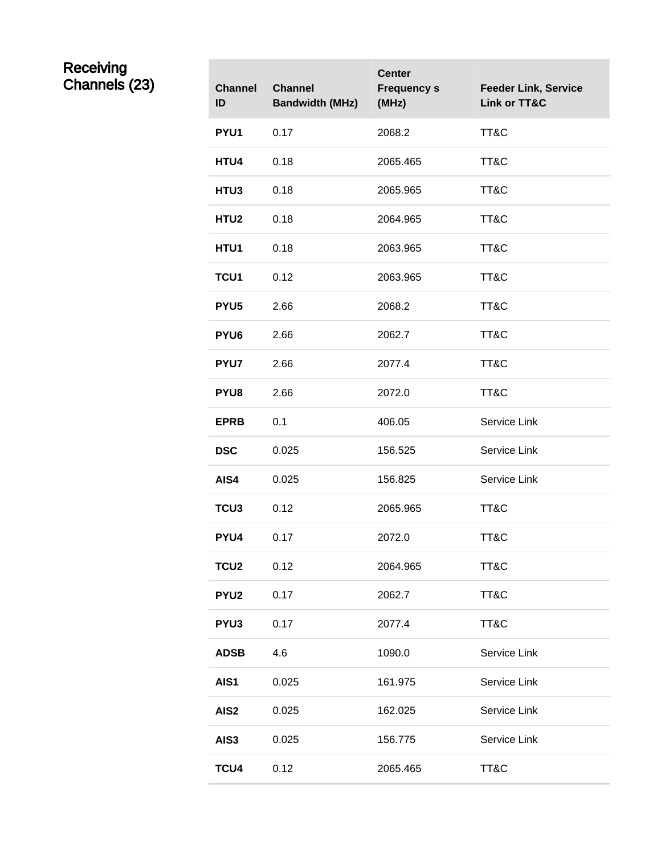#### Receiving Channels (23) **Channel**

| <b>Channel</b><br>ID | <b>Channel</b><br><b>Bandwidth (MHz)</b> | <b>Center</b><br><b>Frequency s</b><br>(MHz) | <b>Feeder Link, Service</b><br><b>Link or TT&amp;C</b> |
|----------------------|------------------------------------------|----------------------------------------------|--------------------------------------------------------|
| PYU1                 | 0.17                                     | 2068.2                                       | TT&C                                                   |
| HTU4                 | 0.18                                     | 2065.465                                     | TT&C                                                   |
| HTU3                 | 0.18                                     | 2065.965                                     | TT&C                                                   |
| HTU2                 | 0.18                                     | 2064.965                                     | TT&C                                                   |
| HTU1                 | 0.18                                     | 2063.965                                     | TT&C                                                   |
| TCU1                 | 0.12                                     | 2063.965                                     | TT&C                                                   |
| PYU <sub>5</sub>     | 2.66                                     | 2068.2                                       | TT&C                                                   |
| PYU <sub>6</sub>     | 2.66                                     | 2062.7                                       | TT&C                                                   |
| <b>PYU7</b>          | 2.66                                     | 2077.4                                       | TT&C                                                   |
| PYU8                 | 2.66                                     | 2072.0                                       | TT&C                                                   |
| <b>EPRB</b>          | 0.1                                      | 406.05                                       | Service Link                                           |
| <b>DSC</b>           | 0.025                                    | 156.525                                      | Service Link                                           |
| AIS4                 | 0.025                                    | 156.825                                      | Service Link                                           |
| TCU <sub>3</sub>     | 0.12                                     | 2065.965                                     | TT&C                                                   |
| PYU4                 | 0.17                                     | 2072.0                                       | TT&C                                                   |
| <b>TCU2</b>          | 0.12                                     | 2064.965                                     | TT&C                                                   |
| <b>PYU2</b>          | 0.17                                     | 2062.7                                       | TT&C                                                   |
| PYU3                 | 0.17                                     | 2077.4                                       | TT&C                                                   |
| <b>ADSB</b>          | 4.6                                      | 1090.0                                       | Service Link                                           |
| AIS1                 | 0.025                                    | 161.975                                      | Service Link                                           |
| AIS <sub>2</sub>     | 0.025                                    | 162.025                                      | Service Link                                           |
| AIS3                 | 0.025                                    | 156.775                                      | Service Link                                           |
| TCU4                 | 0.12                                     | 2065.465                                     | TT&C                                                   |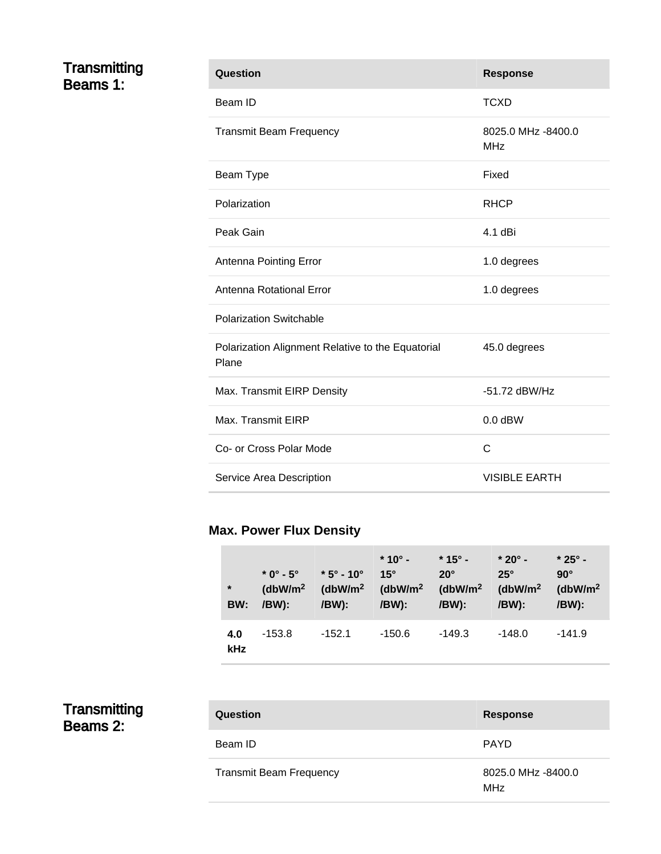#### Transmitting Beams 1:

| Question                                                   | <b>Response</b>                  |
|------------------------------------------------------------|----------------------------------|
| Beam ID                                                    | TCXD                             |
| <b>Transmit Beam Frequency</b>                             | 8025.0 MHz -8400.0<br><b>MHz</b> |
| Beam Type                                                  | Fixed                            |
| Polarization                                               | <b>RHCP</b>                      |
| Peak Gain                                                  | 4.1 dBi                          |
| Antenna Pointing Error                                     | 1.0 degrees                      |
| Antenna Rotational Error                                   | 1.0 degrees                      |
| <b>Polarization Switchable</b>                             |                                  |
| Polarization Alignment Relative to the Equatorial<br>Plane | 45.0 degrees                     |
| Max. Transmit EIRP Density                                 | -51.72 dBW/Hz                    |
| Max. Transmit EIRP                                         | $0.0$ dBW                        |
| Co- or Cross Polar Mode                                    | C                                |
| Service Area Description                                   | <b>VISIBLE EARTH</b>             |

# **Max. Power Flux Density**

| $\ast$<br>BW: | $*$ 0 $^{\circ}$ - 5 $^{\circ}$<br>(dbW/m <sup>2</sup> )<br>/BW): | $*5^\circ$ - 10 $^\circ$<br>(dbW/m <sup>2</sup> )<br>/BW): | $*10^{\circ}$ -<br>$15^\circ$<br>(dbW/m <sup>2</sup><br>/BW): | $*$ 15° -<br>$20^\circ$<br>(dbW/m <sup>2</sup> )<br>/BW): | $*20^\circ$ -<br>$25^\circ$<br>(dbW/m <sup>2</sup> )<br>/BW): | $*25^{\circ}$ -<br>$90^\circ$<br>(dbW/m <sup>2</sup> )<br>/BW): |
|---------------|-------------------------------------------------------------------|------------------------------------------------------------|---------------------------------------------------------------|-----------------------------------------------------------|---------------------------------------------------------------|-----------------------------------------------------------------|
| 4.0<br>kHz    | $-153.8$                                                          | -152.1                                                     | -150.6                                                        | $-149.3$                                                  | $-148.0$                                                      | $-141.9$                                                        |

#### Transmitting Beams 2:

| Question                | <b>Response</b>                  |
|-------------------------|----------------------------------|
| Beam ID                 | <b>PAYD</b>                      |
| Transmit Beam Frequency | 8025.0 MHz -8400.0<br><b>MHz</b> |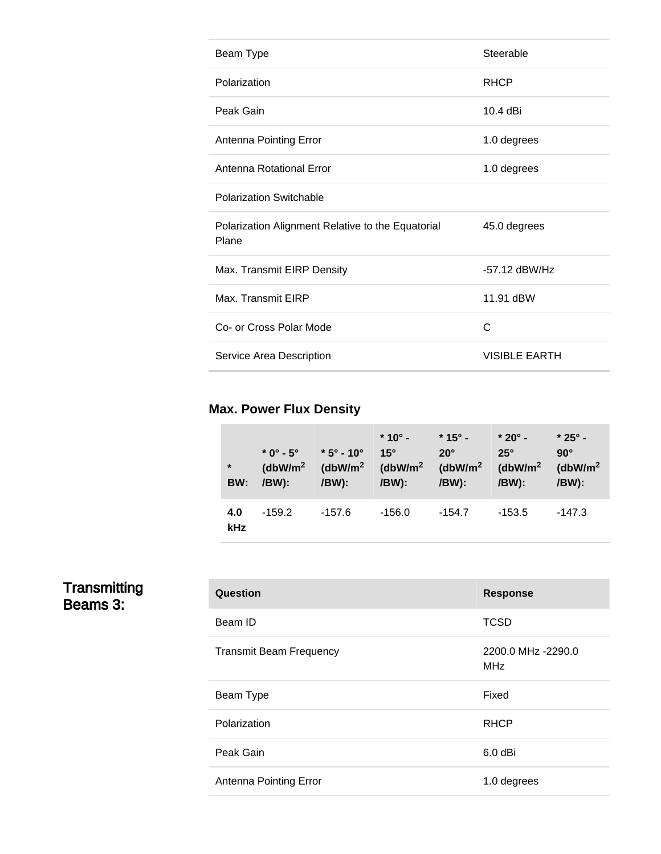| Beam Type                                                  | Steerable            |
|------------------------------------------------------------|----------------------|
| Polarization                                               | <b>RHCP</b>          |
| Peak Gain                                                  | $10.4$ dBi           |
| Antenna Pointing Error                                     | 1.0 degrees          |
| Antenna Rotational Error                                   | 1.0 degrees          |
| <b>Polarization Switchable</b>                             |                      |
| Polarization Alignment Relative to the Equatorial<br>Plane | 45.0 degrees         |
| Max. Transmit EIRP Density                                 | $-57.12$ dBW/Hz      |
| Max. Transmit EIRP                                         | 11.91 dBW            |
| Co- or Cross Polar Mode                                    | C                    |
| Service Area Description                                   | <b>VISIBLE EARTH</b> |

# **Max. Power Flux Density**

| $\star$<br>BW: | $*$ 0° - 5°<br>(dbW/m <sup>2</sup> )<br>/BW): | $*5^{\circ}$ - 10°<br>/BW): | $*10^{\circ}$ -<br>$15^\circ$<br>(dbW/m <sup>2</sup> (dbW/m <sup>2</sup> (dbW/m <sup>2</sup><br>/BW): | $*$ 15° -<br>$20^\circ$<br>/BW): | $*20^\circ$ -<br>$25^\circ$<br>(dbW/m <sup>2</sup> )<br>/BW): | $*25^{\circ}$ -<br>$90^\circ$<br>( $dbW/m2$<br>/BW): |
|----------------|-----------------------------------------------|-----------------------------|-------------------------------------------------------------------------------------------------------|----------------------------------|---------------------------------------------------------------|------------------------------------------------------|
| 4.0<br>kHz     | $-159.2$                                      | -157.6                      | $-156.0$                                                                                              | $-154.7$                         | $-153.5$                                                      | $-147.3$                                             |

#### Transmitting Beams 3:

| Question                       | <b>Response</b>                  |
|--------------------------------|----------------------------------|
| Beam ID                        | <b>TCSD</b>                      |
| <b>Transmit Beam Frequency</b> | 2200.0 MHz -2290.0<br><b>MHz</b> |
| Beam Type                      | Fixed                            |
| Polarization                   | <b>RHCP</b>                      |
| Peak Gain                      | 6.0 dBi                          |
| Antenna Pointing Error         | 1.0 degrees                      |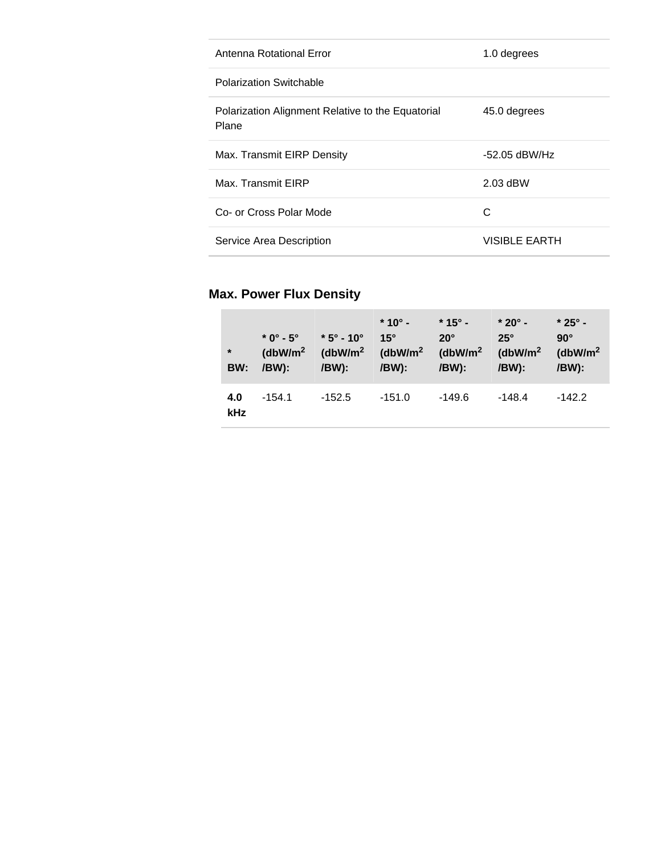| Antenna Rotational Error                                   | 1.0 degrees          |
|------------------------------------------------------------|----------------------|
| <b>Polarization Switchable</b>                             |                      |
| Polarization Alignment Relative to the Equatorial<br>Plane | 45.0 degrees         |
| Max. Transmit EIRP Density                                 | $-52.05$ dBW/Hz      |
| Max. Transmit EIRP                                         | 2.03 dBW             |
| Co- or Cross Polar Mode                                    | C                    |
| Service Area Description                                   | <b>VISIBLE EARTH</b> |

# **Max. Power Flux Density**

| $*$<br>BW:        | $*$ 0° - 5°<br>(dbW/m <sup>2</sup> )<br>/BW): | $*5^{\circ}$ - 10°<br>(dbW/m <sup>2</sup> (dbW/m <sup>2</sup> )<br>/BW): | $*10^{\circ}$ -<br>$15^\circ$<br>/BW): | $*$ 15° -<br>$20^\circ$<br>(dbW/m <sup>2</sup> )<br>/BW): | $*$ 20° -<br>$25^\circ$<br>(dbW/m <sup>2</sup> )<br>/BW): | $*25^{\circ}$ -<br>$90^\circ$<br>(dbW/m <sup>2</sup> )<br>/BW): |
|-------------------|-----------------------------------------------|--------------------------------------------------------------------------|----------------------------------------|-----------------------------------------------------------|-----------------------------------------------------------|-----------------------------------------------------------------|
| 4.0<br><b>kHz</b> | $-154.1$                                      | $-152.5$                                                                 | $-151.0$                               | -149.6                                                    | -148.4                                                    | $-142.2$                                                        |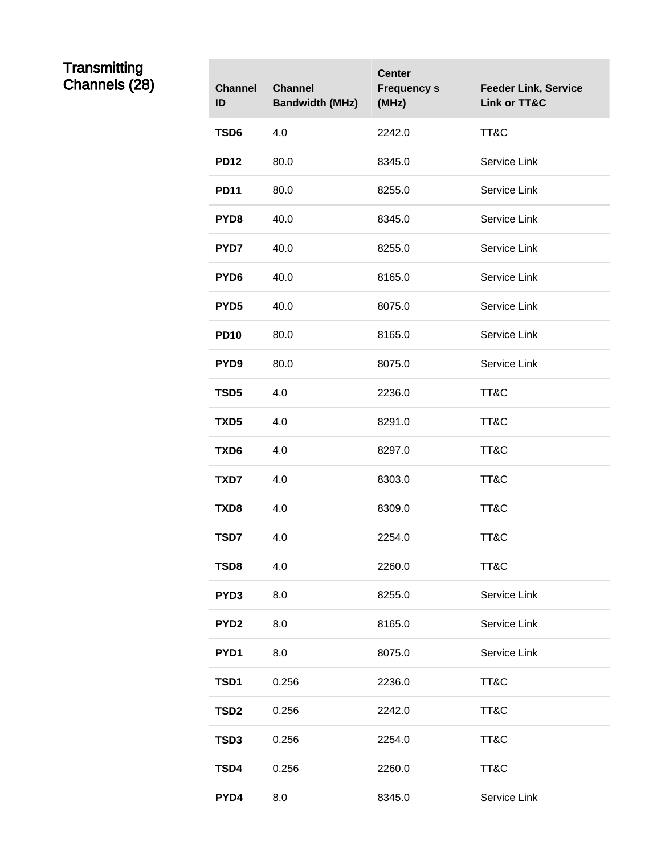#### Transmitting Channels (28) **Channel**

| <b>Channel</b><br>ID | <b>Channel</b><br><b>Bandwidth (MHz)</b> | <b>Center</b><br><b>Frequency s</b><br>(MHz) | <b>Feeder Link, Service</b><br>Link or TT&C |
|----------------------|------------------------------------------|----------------------------------------------|---------------------------------------------|
| TSD6                 | 4.0                                      | 2242.0                                       | TT&C                                        |
| <b>PD12</b>          | 80.0                                     | 8345.0                                       | Service Link                                |
| <b>PD11</b>          | 80.0                                     | 8255.0                                       | Service Link                                |
| PYD8                 | 40.0                                     | 8345.0                                       | Service Link                                |
| PYD7                 | 40.0                                     | 8255.0                                       | Service Link                                |
| PYD <sub>6</sub>     | 40.0                                     | 8165.0                                       | Service Link                                |
| PYD <sub>5</sub>     | 40.0                                     | 8075.0                                       | Service Link                                |
| <b>PD10</b>          | 80.0                                     | 8165.0                                       | Service Link                                |
| PYD <sub>9</sub>     | 80.0                                     | 8075.0                                       | Service Link                                |
| TSD5                 | 4.0                                      | 2236.0                                       | TT&C                                        |
| TXD <sub>5</sub>     | 4.0                                      | 8291.0                                       | TT&C                                        |
| TXD6                 | 4.0                                      | 8297.0                                       | TT&C                                        |
| TXD7                 | 4.0                                      | 8303.0                                       | TT&C                                        |
| TXD8                 | 4.0                                      | 8309.0                                       | TT&C                                        |
| TSD7                 | 4.0                                      | 2254.0                                       | TT&C                                        |
| TSD8                 | 4.0                                      | 2260.0                                       | TT&C                                        |
| PYD3                 | 8.0                                      | 8255.0                                       | Service Link                                |
| PYD <sub>2</sub>     | 8.0                                      | 8165.0                                       | Service Link                                |
| PYD1                 | 8.0                                      | 8075.0                                       | Service Link                                |
| TSD1                 | 0.256                                    | 2236.0                                       | TT&C                                        |
| TSD2                 | 0.256                                    | 2242.0                                       | TT&C                                        |
| TSD3                 | 0.256                                    | 2254.0                                       | TT&C                                        |
| TSD4                 | 0.256                                    | 2260.0                                       | TT&C                                        |
| PYD4                 | 8.0                                      | 8345.0                                       | Service Link                                |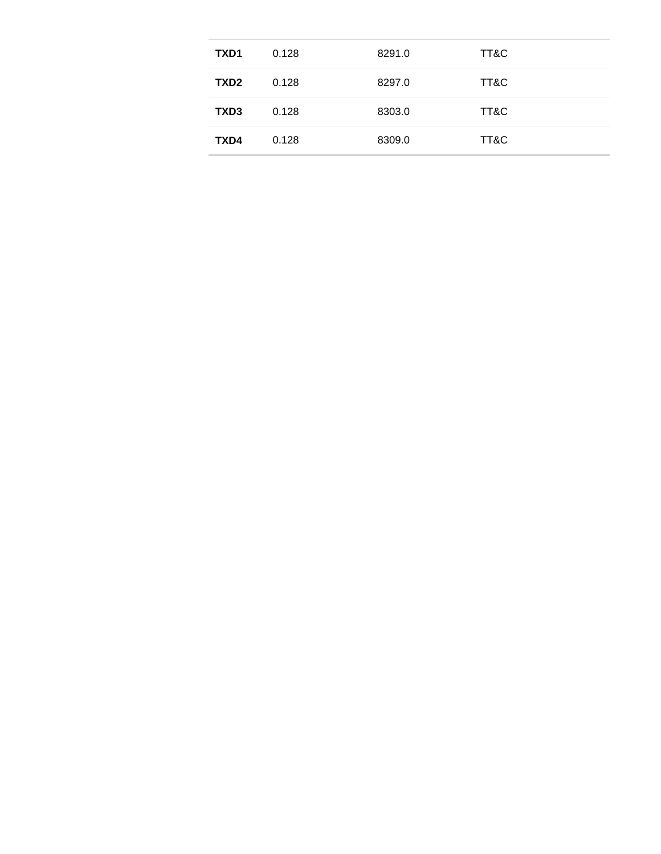| TXD1             | 0.128 | 8291.0 | TT&C |
|------------------|-------|--------|------|
| TXD <sub>2</sub> | 0.128 | 8297.0 | TT&C |
| TXD <sub>3</sub> | 0.128 | 8303.0 | TT&C |
| TXD4             | 0.128 | 8309.0 | TT&C |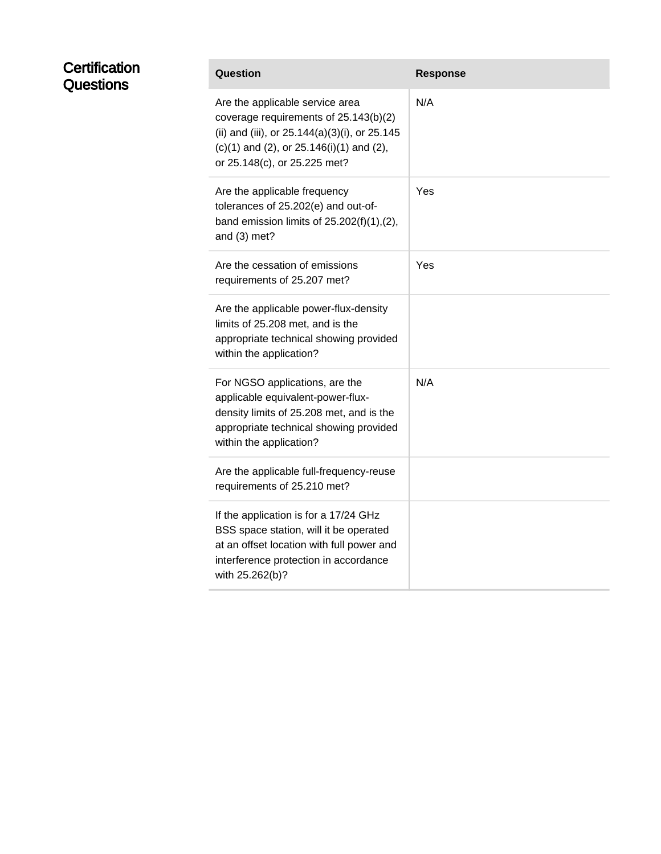| Certification<br>Questions | Question                                                                                                                                                                                                        | <b>Response</b> |
|----------------------------|-----------------------------------------------------------------------------------------------------------------------------------------------------------------------------------------------------------------|-----------------|
|                            | Are the applicable service area<br>coverage requirements of 25.143(b)(2)<br>(ii) and (iii), or 25.144(a)(3)(i), or 25.145<br>$(c)(1)$ and $(2)$ , or $25.146(i)(1)$ and $(2)$ ,<br>or 25.148(c), or 25.225 met? | N/A             |
|                            | Are the applicable frequency<br>tolerances of 25.202(e) and out-of-<br>band emission limits of $25.202(f)(1),(2)$ ,<br>and $(3)$ met?                                                                           | Yes             |
|                            | Are the cessation of emissions<br>requirements of 25.207 met?                                                                                                                                                   | Yes             |
|                            | Are the applicable power-flux-density<br>limits of 25.208 met, and is the<br>appropriate technical showing provided<br>within the application?                                                                  |                 |
|                            | For NGSO applications, are the<br>applicable equivalent-power-flux-<br>density limits of 25.208 met, and is the<br>appropriate technical showing provided<br>within the application?                            | N/A             |
|                            | Are the applicable full-frequency-reuse<br>requirements of 25.210 met?                                                                                                                                          |                 |
|                            | If the application is for a 17/24 GHz<br>BSS space station, will it be operated<br>at an offset location with full power and<br>interference protection in accordance<br>with 25.262(b)?                        |                 |